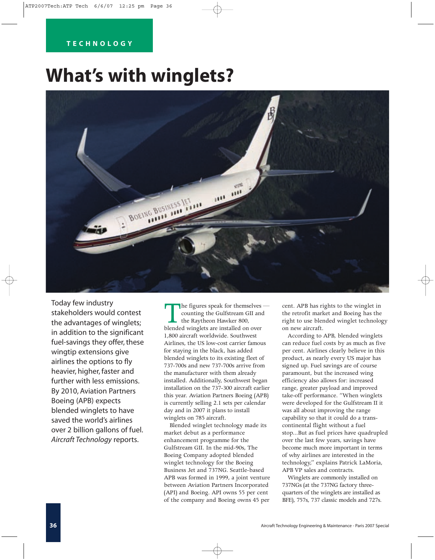# **TECHNOLOGY**

# **What's with winglets?**



Today few industry stakeholders would contest the advantages of winglets; in addition to the significant fuel-savings they offer, these wingtip extensions give airlines the options to fly heavier, higher, faster and further with less emissions. By 2010, Aviation Partners Boeing (APB) expects blended winglets to have saved the world's airlines over 2 billion gallons of fuel. *Aircraft Technology* reports.

The figures speak for themselves—<br>counting the Gulfstream GII and<br>the Raytheon Hawker 800,<br>blended winglets are installed on over counting the Gulfstream GII and the Raytheon Hawker 800, 1,800 aircraft worldwide. Southwest Airlines, the US low-cost carrier famous for staying in the black, has added blended winglets to its existing fleet of 737-700s and new 737-700s arrive from the manufacturer with them already installed. Additionally, Southwest began installation on the 737-300 aircraft earlier this year. Aviation Partners Boeing (APB) is currently selling 2.1 sets per calendar day and in 2007 it plans to install winglets on 785 aircraft.

Blended winglet technology made its market debut as a performance enhancement programme for the Gulfstream GII. In the mid-90s, The Boeing Company adopted blended winglet technology for the Boeing Business Jet and 737NG. Seattle-based APB was formed in 1999, a joint venture between Aviation Partners Incorporated (API) and Boeing. API owns 55 per cent of the company and Boeing owns 45 per

cent. APB has rights to the winglet in the retrofit market and Boeing has the right to use blended winglet technology on new aircraft.

According to APB, blended winglets can reduce fuel costs by as much as five per cent. Airlines clearly believe in this product, as nearly every US major has signed up. Fuel savings are of course paramount, but the increased wing efficiency also allows for: increased range, greater payload and improved take-off performance. "When winglets were developed for the Gulfstream II it was all about improving the range capability so that it could do a transcontinental flight without a fuel stop...But as fuel prices have quadrupled over the last few years, savings have become much more important in terms of why airlines are interested in the technology," explains Patrick LaMoria, APB VP sales and contracts.

Winglets are commonly installed on 737NGs (at the 737NG factory threequarters of the winglets are installed as BFE), 757s, 737 classic models and 727s.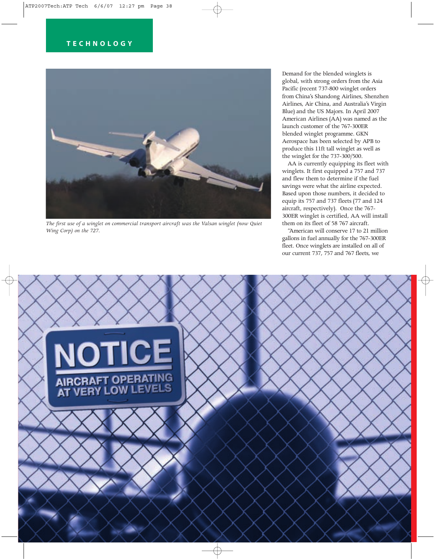

*The first use of a winglet on commercial transport aircraft was the Valsan winglet (now Quiet Wing Corp) on the 727.*

Demand for the blended winglets is global, with strong orders from the Asia Pacific (recent 737-800 winglet orders from China's Shandong Airlines, Shenzhen Airlines, Air China, and Australia's Virgin Blue) and the US Majors. In April 2007 American Airlines (AA) was named as the launch customer of the 767-300ER blended winglet programme. GKN Aerospace has been selected by APB to produce this 11ft tall winglet as well as the winglet for the 737-300/500.

AA is currently equipping its fleet with winglets. It first equipped a 757 and 737 and flew them to determine if the fuel savings were what the airline expected. Based upon those numbers, it decided to equip its 757 and 737 fleets (77 and 124 aircraft, respectively). Once the 767- 300ER winglet is certified, AA will install them on its fleet of 58 767 aircraft.

"American will conserve 17 to 21 million gallons in fuel annually for the 767-300ER fleet. Once winglets are installed on all of our current 737, 757 and 767 fleets, we

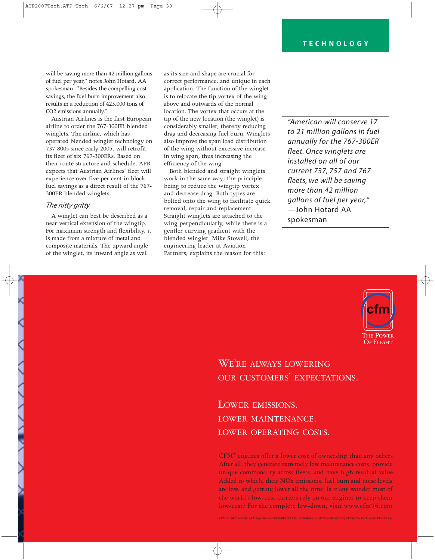will be saving more than 42 million gallons of fuel per year," notes John Hotard, AA spokesman. "Besides the compelling cost savings, the fuel burn improvement also results in a reduction of 423,000 tons of CO2 emissions annually."

Austrian Airlines is the first European airline to order the 767-300ER blended winglets. The airline, which has operated blended winglet technology on 737-800s since early 2005, will retrofit its fleet of six 767-300ERs. Based on their route structure and schedule, APB expects that Austrian Airlines' fleet will experience over five per cent in block fuel savings as a direct result of the 767- 300ER blended winglets.

## *The nitty gritty*

A winglet can best be described as a near vertical extension of the wingtip. For maximum strength and flexibility, it is made from a mixture of metal and composite materials. The upward angle of the winglet, its inward angle as well

as its size and shape are crucial for correct performance, and unique in each application. The function of the winglet is to relocate the tip vortex of the wing above and outwards of the normal location. The vortex that occurs at the tip of the new location (the winglet) is considerably smaller, thereby reducing drag and decreasing fuel burn. Winglets also improve the span load distribution of the wing without excessive increase in wing span, thus increasing the efficiency of the wing.

Both blended and straight winglets work in the same way; the principle being to reduce the wingtip vortex and decrease drag. Both types are bolted onto the wing to facilitate quick removal, repair and replacement. Straight winglets are attached to the wing perpendicularly, while there is a gentler curving gradient with the blended winglet. Mike Stowell, the engineering leader at Aviation Partners, explains the reason for this:

*"American will conserve 17 to 21 million gallons in fuel annually for the 767-300ER fleet. Once winglets are installed on all of our current 737, 757 and 767 fleets, we will be saving more than 42 million gallons of fuel per year,"* —John Hotard AA spokesman



# WE'RE ALWAYS LOWERING OUR CUSTOMERS' EXPECTATIONS.

LOWER EMISSIONS. LOWER MAINTENANCE. LOWER OPERATING COSTS.

CFM™ engines offer a lower cost of ownership than any others. After all, they generate extremely low maintenance costs, provide unique commonality across fleets, and have high residual value. Added to which, their NOx emissions, fuel burn and noise levels are low, and getting lower all the time. Is it any wonder most of the world's low-cost carriers rely on our engines to keep them low-cost? For the complete low-down, visit www.cfm56.com

CFM, CFM56 and the CFM logo are all trademarks of CFM International, a 50/50 joint company of Snecma and General Electric Co.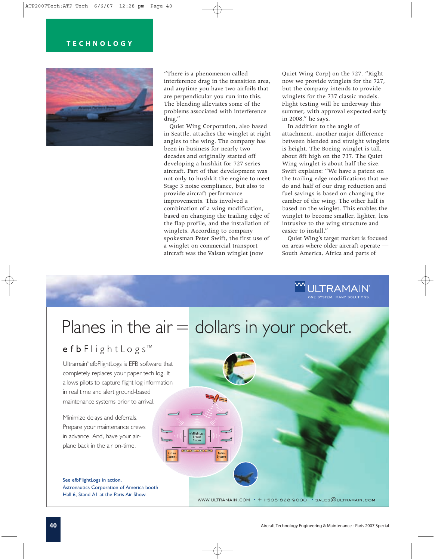# **TECHNOLOGY**



"There is a phenomenon called interference drag in the transition area, and anytime you have two airfoils that are perpendicular you run into this. The blending alleviates some of the problems associated with interference drag."

Quiet Wing Corporation, also based in Seattle, attaches the winglet at right angles to the wing. The company has been in business for nearly two decades and originally started off developing a hushkit for 727 series aircraft. Part of that development was not only to hushkit the engine to meet Stage 3 noise compliance, but also to provide aircraft performance improvements. This involved a combination of a wing modification, based on changing the trailing edge of the flap profile, and the installation of winglets. According to company spokesman Peter Swift, the first use of a winglet on commercial transport aircraft was the Valsan winglet (now

Quiet Wing Corp) on the 727. "Right now we provide winglets for the 727, but the company intends to provide winglets for the 737 classic models. Flight testing will be underway this summer, with approval expected early in 2008," he says.

In addition to the angle of attachment, another major difference between blended and straight winglets is height. The Boeing winglet is tall, about 8ft high on the 737. The Quiet Wing winglet is about half the size. Swift explains: "We have a patent on the trailing edge modifications that we do and half of our drag reduction and fuel savings is based on changing the camber of the wing. The other half is based on the winglet. This enables the winglet to become smaller, lighter, less intrusive to the wing structure and easier to install."

Quiet Wing's target market is focused on areas where older aircraft operate — South America, Africa and parts of



WWW.ULTRAMAIN.COM **•** +1-505-828-9000 **•** sales@ultramain.com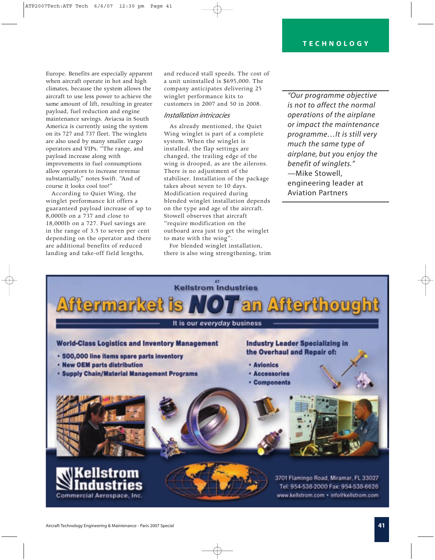Europe. Benefits are especially apparent when aircraft operate in hot and high climates, because the system allows the aircraft to use less power to achieve the same amount of lift, resulting in greater payload, fuel reduction and engine maintenance savings. Aviacsa in South America is currently using the system on its 727 and 737 fleet. The winglets are also used by many smaller cargo operators and VIPs. "The range, and payload increase along with improvements in fuel consumptions allow operators to increase revenue substantially," notes Swift. "And of course it looks cool too!"

According to Quiet Wing, the winglet performance kit offers a guaranteed payload increase of up to 8,000lb on a 737 and close to 18,000lb on a 727. Fuel savings are in the range of 3.5 to seven per cent depending on the operator and there are additional benefits of reduced landing and take-off field lengths,

and reduced stall speeds. The cost of a unit uninstalled is \$695,000. The company anticipates delivering 25 winglet performance kits to customers in 2007 and 50 in 2008.

#### *Installation intricacies*

As already mentioned, the Quiet Wing winglet is part of a complete system. When the winglet is installed, the flap settings are changed, the trailing edge of the wing is drooped, as are the ailerons. There is no adjustment of the stabiliser. Installation of the package takes about seven to 10 days. Modification required during blended winglet installation depends on the type and age of the aircraft. Stowell observes that aircraft "require modification on the outboard area just to get the winglet to mate with the wing".

For blended winglet installation, there is also wing strengthening, trim

*"Our programme objective is not to affect the normal operations of the airplane or impact the maintenance programme…It is still very much the same type of airplane, but you enjoy the benefit of winglets."* —Mike Stowell, engineering leader at Aviation Partners

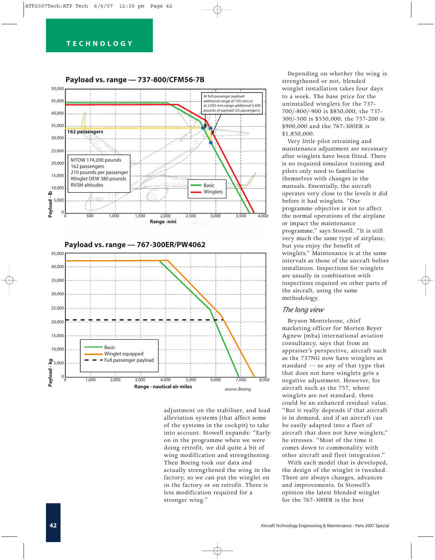

adjustment on the stabiliser, and load alleviation systems (that affect some of the systems in the cockpit) to take into account. Stowell expands: "Early on in the programme when we were doing retrofit, we did quite a bit of wing modification and strengthening. Then Boeing took our data and actually strengthened the wing in the factory, so we can put the winglet on in the factory or on retrofit. There is less modification required for a stronger wing."

Depending on whether the wing is strengthened or not, blended winglet installation takes four days to a week. The base price for the uninstalled winglets for the 737- 700/-800/-900 is \$850,000, the 737- 300/-500 is \$550,000, the 757-200 is \$900,000 and the 767-300ER is \$1,850,000.

Very little pilot retraining and maintenance adjustment are necessary after winglets have been fitted. There is no required simulator training and pilots only need to familiarise themselves with changes in the manuals. Essentially, the aircraft operates very close to the levels it did before it had winglets. "Our programme objective is not to affect the normal operations of the airplane or impact the maintenance programme," says Stowell. "It is still very much the same type of airplane, but you enjoy the benefit of winglets." Maintenance is at the same intervals as those of the aircraft before installation. Inspections for winglets are usually in combination with inspections required on other parts of the aircraft, using the same methodology.

## *The long view*

Bryson Monteleone, chief marketing officer for Morten Beyer Agnew (mba) international aviation consultancy, says that from an appraiser's perspective, aircraft such as the 737NG now have winglets as standard — so any of that type that that does not have winglets gets a negative adjustment. However, for aircraft such as the 757, where winglets are not standard, there could be an enhanced residual value. "But it really depends if that aircraft is in demand, and if an aircraft can be easily adapted into a fleet of aircraft that does not have winglets," he stresses. "Most of the time it comes down to commonality with other aircraft and fleet integration."

With each model that is developed, the design of the winglet is tweaked. There are always changes, advances and improvements. In Stowell's opinion the latest blended winglet for the 767-300ER is the best